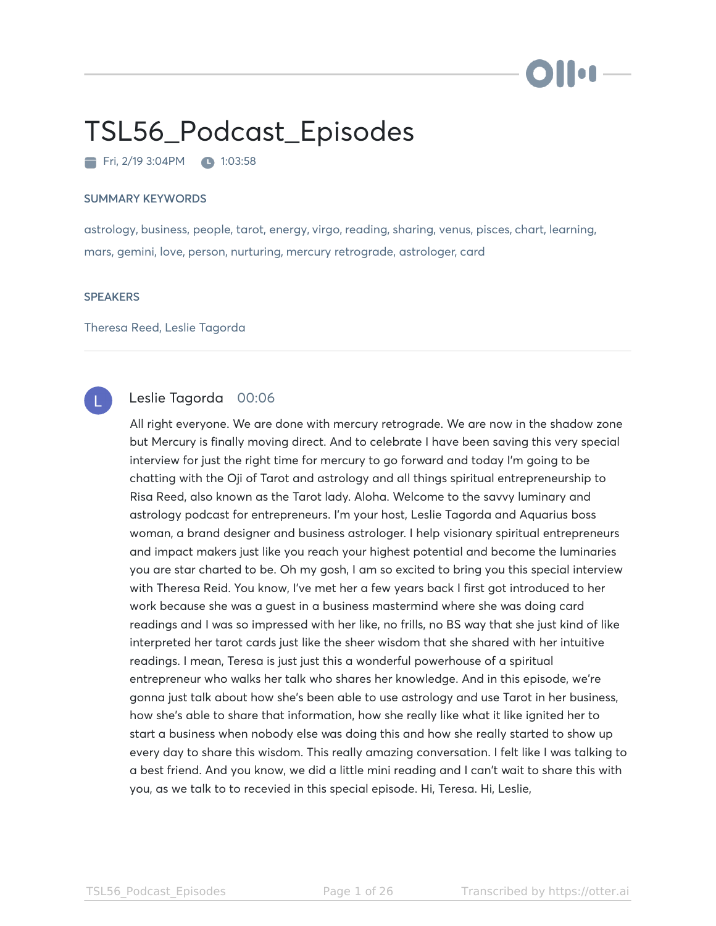# ) III og J

# TSL56\_Podcast\_Episodes

Fri, 2/19 3:04PM 1:03:58

#### SUMMARY KEYWORDS

astrology, business, people, tarot, energy, virgo, reading, sharing, venus, pisces, chart, learning, mars, gemini, love, person, nurturing, mercury retrograde, astrologer, card

#### **SPEAKERS**

Theresa Reed, Leslie Tagorda



# Leslie Tagorda 00:06

All right everyone. We are done with mercury retrograde. We are now in the shadow zone but Mercury is finally moving direct. And to celebrate I have been saving this very special interview for just the right time for mercury to go forward and today I'm going to be chatting with the Oji of Tarot and astrology and all things spiritual entrepreneurship to Risa Reed, also known as the Tarot lady. Aloha. Welcome to the savvy luminary and astrology podcast for entrepreneurs. I'm your host, Leslie Tagorda and Aquarius boss woman, a brand designer and business astrologer. I help visionary spiritual entrepreneurs and impact makers just like you reach your highest potential and become the luminaries you are star charted to be. Oh my gosh, I am so excited to bring you this special interview with Theresa Reid. You know, I've met her a few years back I first got introduced to her work because she was a guest in a business mastermind where she was doing card readings and I was so impressed with her like, no frills, no BS way that she just kind of like interpreted her tarot cards just like the sheer wisdom that she shared with her intuitive readings. I mean, Teresa is just just this a wonderful powerhouse of a spiritual entrepreneur who walks her talk who shares her knowledge. And in this episode, we're gonna just talk about how she's been able to use astrology and use Tarot in her business, how she's able to share that information, how she really like what it like ignited her to start a business when nobody else was doing this and how she really started to show up every day to share this wisdom. This really amazing conversation. I felt like I was talking to a best friend. And you know, we did a little mini reading and I can't wait to share this with you, as we talk to to recevied in this special episode. Hi, Teresa. Hi, Leslie,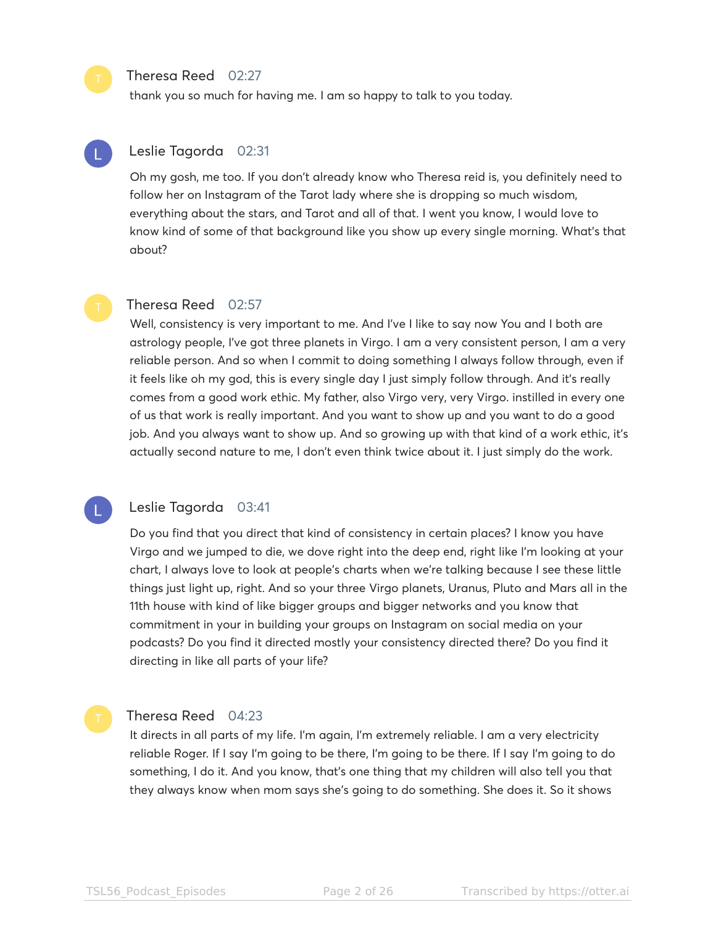#### Theresa Reed 02:27

thank you so much for having me. I am so happy to talk to you today.

# Leslie Tagorda 02:31

Oh my gosh, me too. If you don't already know who Theresa reid is, you definitely need to follow her on Instagram of the Tarot lady where she is dropping so much wisdom, everything about the stars, and Tarot and all of that. I went you know, I would love to know kind of some of that background like you show up every single morning. What's that about?

### Theresa Reed 02:57

Well, consistency is very important to me. And I've I like to say now You and I both are astrology people, I've got three planets in Virgo. I am a very consistent person, I am a very reliable person. And so when I commit to doing something I always follow through, even if it feels like oh my god, this is every single day I just simply follow through. And it's really comes from a good work ethic. My father, also Virgo very, very Virgo. instilled in every one of us that work is really important. And you want to show up and you want to do a good job. And you always want to show up. And so growing up with that kind of a work ethic, it's actually second nature to me, I don't even think twice about it. I just simply do the work.

### Leslie Tagorda 03:41

Do you find that you direct that kind of consistency in certain places? I know you have Virgo and we jumped to die, we dove right into the deep end, right like I'm looking at your chart, I always love to look at people's charts when we're talking because I see these little things just light up, right. And so your three Virgo planets, Uranus, Pluto and Mars all in the 11th house with kind of like bigger groups and bigger networks and you know that commitment in your in building your groups on Instagram on social media on your podcasts? Do you find it directed mostly your consistency directed there? Do you find it directing in like all parts of your life?

#### Theresa Reed 04:23

It directs in all parts of my life. I'm again, I'm extremely reliable. I am a very electricity reliable Roger. If I say I'm going to be there, I'm going to be there. If I say I'm going to do something, I do it. And you know, that's one thing that my children will also tell you that they always know when mom says she's going to do something. She does it. So it shows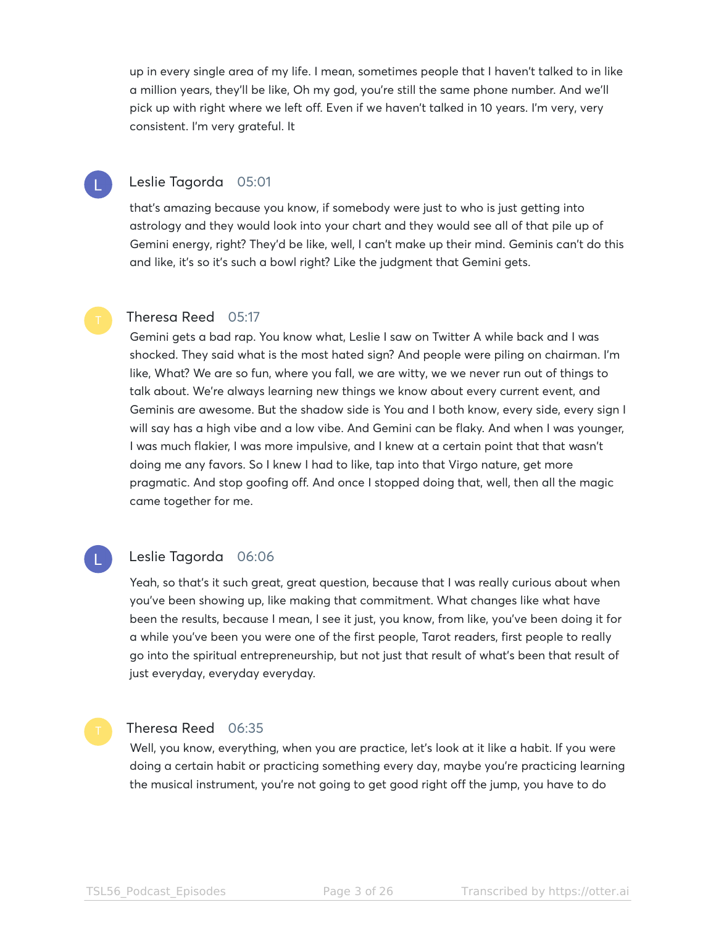up in every single area of my life. I mean, sometimes people that I haven't talked to in like a million years, they'll be like, Oh my god, you're still the same phone number. And we'll pick up with right where we left off. Even if we haven't talked in 10 years. I'm very, very consistent. I'm very grateful. It

### Leslie Tagorda 05:01

that's amazing because you know, if somebody were just to who is just getting into astrology and they would look into your chart and they would see all of that pile up of Gemini energy, right? They'd be like, well, I can't make up their mind. Geminis can't do this and like, it's so it's such a bowl right? Like the judgment that Gemini gets.

### Theresa Reed 05:17

Gemini gets a bad rap. You know what, Leslie I saw on Twitter A while back and I was shocked. They said what is the most hated sign? And people were piling on chairman. I'm like, What? We are so fun, where you fall, we are witty, we we never run out of things to talk about. We're always learning new things we know about every current event, and Geminis are awesome. But the shadow side is You and I both know, every side, every sign I will say has a high vibe and a low vibe. And Gemini can be flaky. And when I was younger, I was much flakier, I was more impulsive, and I knew at a certain point that that wasn't doing me any favors. So I knew I had to like, tap into that Virgo nature, get more pragmatic. And stop goofing off. And once I stopped doing that, well, then all the magic came together for me.

# Leslie Tagorda 06:06

Yeah, so that's it such great, great question, because that I was really curious about when you've been showing up, like making that commitment. What changes like what have been the results, because I mean, I see it just, you know, from like, you've been doing it for a while you've been you were one of the first people, Tarot readers, first people to really go into the spiritual entrepreneurship, but not just that result of what's been that result of just everyday, everyday everyday.

#### Theresa Reed 06:35

Well, you know, everything, when you are practice, let's look at it like a habit. If you were doing a certain habit or practicing something every day, maybe you're practicing learning the musical instrument, you're not going to get good right off the jump, you have to do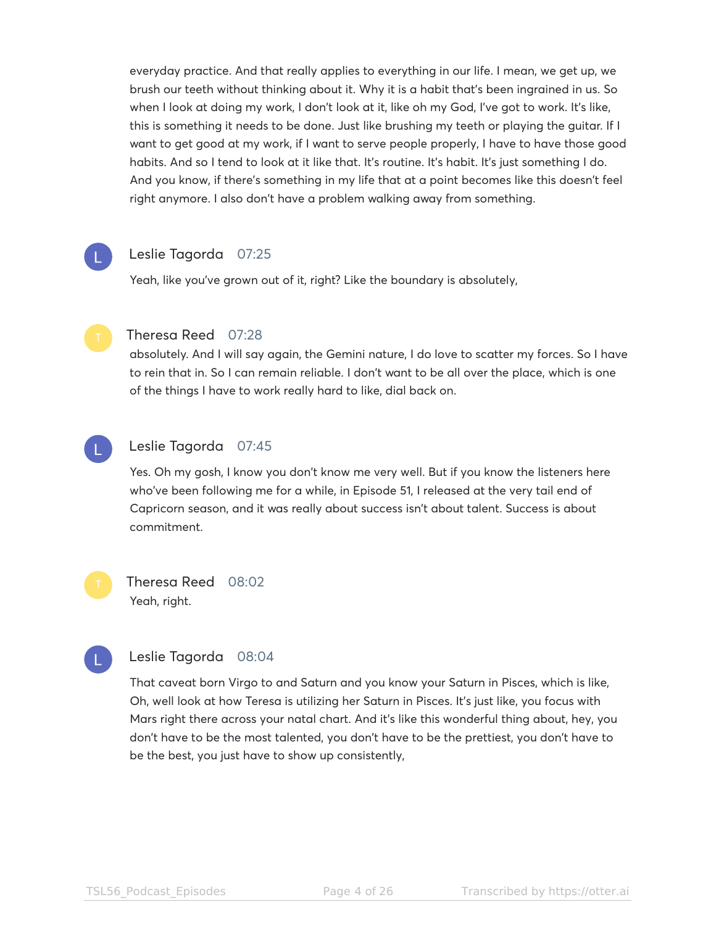everyday practice. And that really applies to everything in our life. I mean, we get up, we brush our teeth without thinking about it. Why it is a habit that's been ingrained in us. So when I look at doing my work, I don't look at it, like oh my God, I've got to work. It's like, this is something it needs to be done. Just like brushing my teeth or playing the guitar. If I want to get good at my work, if I want to serve people properly, I have to have those good habits. And so I tend to look at it like that. It's routine. It's habit. It's just something I do. And you know, if there's something in my life that at a point becomes like this doesn't feel right anymore. I also don't have a problem walking away from something.

# Leslie Tagorda 07:25

Yeah, like you've grown out of it, right? Like the boundary is absolutely,



# Theresa Reed 07:28

absolutely. And I will say again, the Gemini nature, I do love to scatter my forces. So I have to rein that in. So I can remain reliable. I don't want to be all over the place, which is one of the things I have to work really hard to like, dial back on.



# Leslie Tagorda 07:45

Yes. Oh my gosh, I know you don't know me very well. But if you know the listeners here who've been following me for a while, in Episode 51, I released at the very tail end of Capricorn season, and it was really about success isn't about talent. Success is about commitment.

Theresa Reed 08:02 Yeah, right.

# Leslie Tagorda 08:04

That caveat born Virgo to and Saturn and you know your Saturn in Pisces, which is like, Oh, well look at how Teresa is utilizing her Saturn in Pisces. It's just like, you focus with Mars right there across your natal chart. And it's like this wonderful thing about, hey, you don't have to be the most talented, you don't have to be the prettiest, you don't have to be the best, you just have to show up consistently,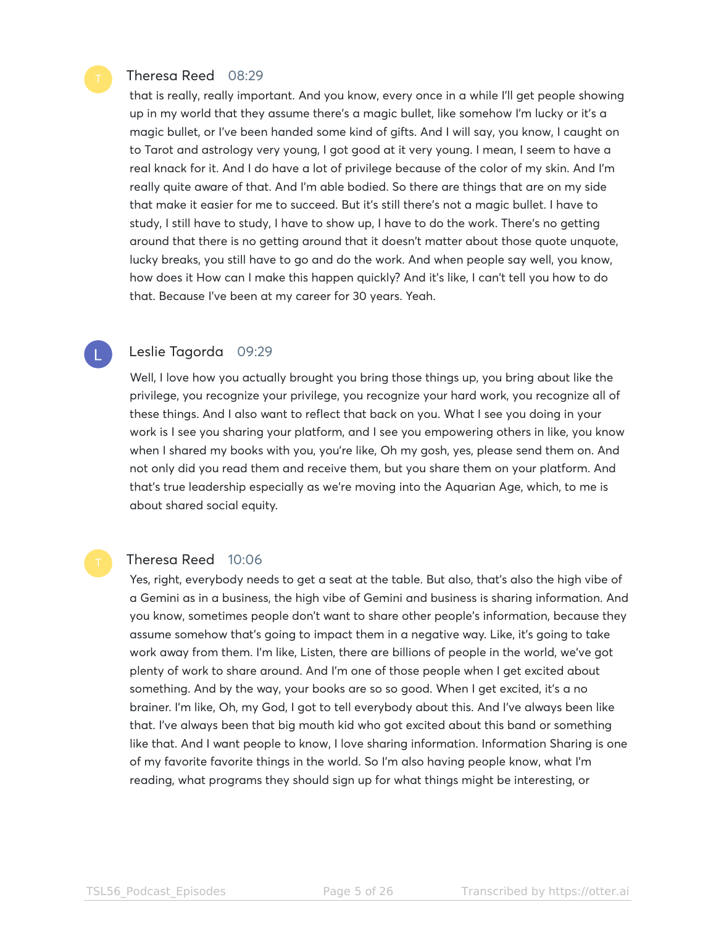#### Theresa Reed 08:29

that is really, really important. And you know, every once in a while I'll get people showing up in my world that they assume there's a magic bullet, like somehow I'm lucky or it's a magic bullet, or I've been handed some kind of gifts. And I will say, you know, I caught on to Tarot and astrology very young, I got good at it very young. I mean, I seem to have a real knack for it. And I do have a lot of privilege because of the color of my skin. And I'm really quite aware of that. And I'm able bodied. So there are things that are on my side that make it easier for me to succeed. But it's still there's not a magic bullet. I have to study, I still have to study, I have to show up, I have to do the work. There's no getting around that there is no getting around that it doesn't matter about those quote unquote, lucky breaks, you still have to go and do the work. And when people say well, you know, how does it How can I make this happen quickly? And it's like, I can't tell you how to do that. Because I've been at my career for 30 years. Yeah.

#### Leslie Tagorda 09:29

Well, I love how you actually brought you bring those things up, you bring about like the privilege, you recognize your privilege, you recognize your hard work, you recognize all of these things. And I also want to reflect that back on you. What I see you doing in your work is I see you sharing your platform, and I see you empowering others in like, you know when I shared my books with you, you're like, Oh my gosh, yes, please send them on. And not only did you read them and receive them, but you share them on your platform. And that's true leadership especially as we're moving into the Aquarian Age, which, to me is about shared social equity.

#### Theresa Reed 10:06

Yes, right, everybody needs to get a seat at the table. But also, that's also the high vibe of a Gemini as in a business, the high vibe of Gemini and business is sharing information. And you know, sometimes people don't want to share other people's information, because they assume somehow that's going to impact them in a negative way. Like, it's going to take work away from them. I'm like, Listen, there are billions of people in the world, we've got plenty of work to share around. And I'm one of those people when I get excited about something. And by the way, your books are so so good. When I get excited, it's a no brainer. I'm like, Oh, my God, I got to tell everybody about this. And I've always been like that. I've always been that big mouth kid who got excited about this band or something like that. And I want people to know, I love sharing information. Information Sharing is one of my favorite favorite things in the world. So I'm also having people know, what I'm reading, what programs they should sign up for what things might be interesting, or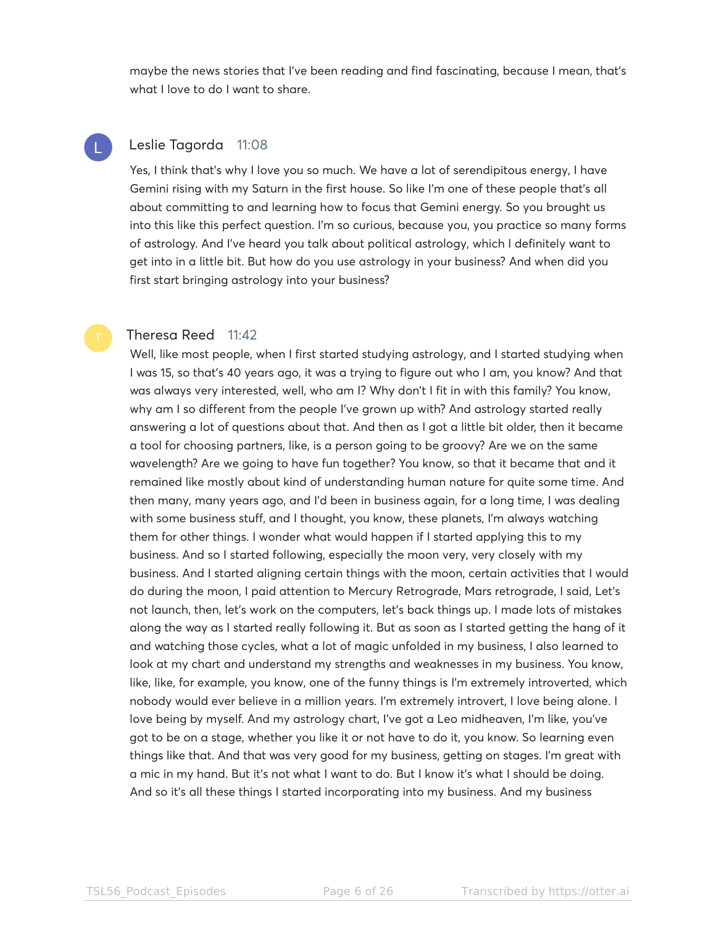maybe the news stories that I've been reading and find fascinating, because I mean, that's what I love to do I want to share.



#### Leslie Tagorda 11:08

Yes, I think that's why I love you so much. We have a lot of serendipitous energy, I have Gemini rising with my Saturn in the first house. So like I'm one of these people that's all about committing to and learning how to focus that Gemini energy. So you brought us into this like this perfect question. I'm so curious, because you, you practice so many forms of astrology. And I've heard you talk about political astrology, which I definitely want to get into in a little bit. But how do you use astrology in your business? And when did you first start bringing astrology into your business?

### Theresa Reed 11:42

Well, like most people, when I first started studying astrology, and I started studying when I was 15, so that's 40 years ago, it was a trying to figure out who I am, you know? And that was always very interested, well, who am I? Why don't I fit in with this family? You know, why am I so different from the people I've grown up with? And astrology started really answering a lot of questions about that. And then as I got a little bit older, then it became a tool for choosing partners, like, is a person going to be groovy? Are we on the same wavelength? Are we going to have fun together? You know, so that it became that and it remained like mostly about kind of understanding human nature for quite some time. And then many, many years ago, and I'd been in business again, for a long time, I was dealing with some business stuff, and I thought, you know, these planets, I'm always watching them for other things. I wonder what would happen if I started applying this to my business. And so I started following, especially the moon very, very closely with my business. And I started aligning certain things with the moon, certain activities that I would do during the moon, I paid attention to Mercury Retrograde, Mars retrograde, I said, Let's not launch, then, let's work on the computers, let's back things up. I made lots of mistakes along the way as I started really following it. But as soon as I started getting the hang of it and watching those cycles, what a lot of magic unfolded in my business, I also learned to look at my chart and understand my strengths and weaknesses in my business. You know, like, like, for example, you know, one of the funny things is I'm extremely introverted, which nobody would ever believe in a million years. I'm extremely introvert, I love being alone. I love being by myself. And my astrology chart, I've got a Leo midheaven, I'm like, you've got to be on a stage, whether you like it or not have to do it, you know. So learning even things like that. And that was very good for my business, getting on stages. I'm great with a mic in my hand. But it's not what I want to do. But I know it's what I should be doing. And so it's all these things I started incorporating into my business. And my business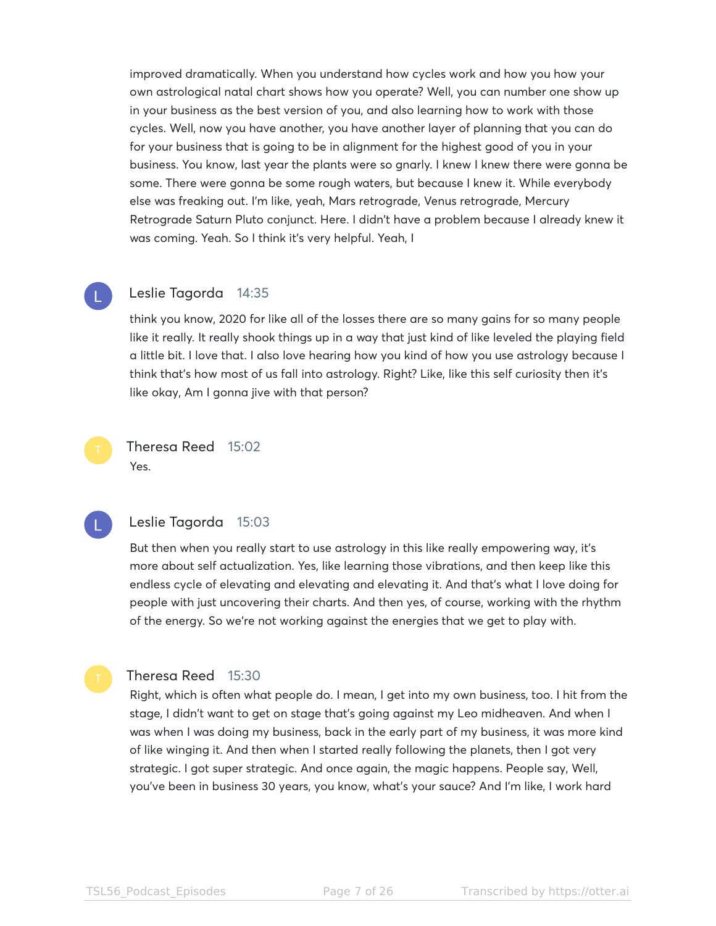improved dramatically. When you understand how cycles work and how you how your own astrological natal chart shows how you operate? Well, you can number one show up in your business as the best version of you, and also learning how to work with those cycles. Well, now you have another, you have another layer of planning that you can do for your business that is going to be in alignment for the highest good of you in your business. You know, last year the plants were so gnarly. I knew I knew there were gonna be some. There were gonna be some rough waters, but because I knew it. While everybody else was freaking out. I'm like, yeah, Mars retrograde, Venus retrograde, Mercury Retrograde Saturn Pluto conjunct. Here. I didn't have a problem because I already knew it was coming. Yeah. So I think it's very helpful. Yeah, I



#### Leslie Tagorda 14:35

think you know, 2020 for like all of the losses there are so many gains for so many people like it really. It really shook things up in a way that just kind of like leveled the playing field a little bit. I love that. I also love hearing how you kind of how you use astrology because I think that's how most of us fall into astrology. Right? Like, like this self curiosity then it's like okay, Am I gonna jive with that person?

# Theresa Reed 15:02 Yes.



#### Leslie Tagorda 15:03

But then when you really start to use astrology in this like really empowering way, it's more about self actualization. Yes, like learning those vibrations, and then keep like this endless cycle of elevating and elevating and elevating it. And that's what I love doing for people with just uncovering their charts. And then yes, of course, working with the rhythm of the energy. So we're not working against the energies that we get to play with.

### Theresa Reed 15:30

Right, which is often what people do. I mean, I get into my own business, too. I hit from the stage, I didn't want to get on stage that's going against my Leo midheaven. And when I was when I was doing my business, back in the early part of my business, it was more kind of like winging it. And then when I started really following the planets, then I got very strategic. I got super strategic. And once again, the magic happens. People say, Well, you've been in business 30 years, you know, what's your sauce? And I'm like, I work hard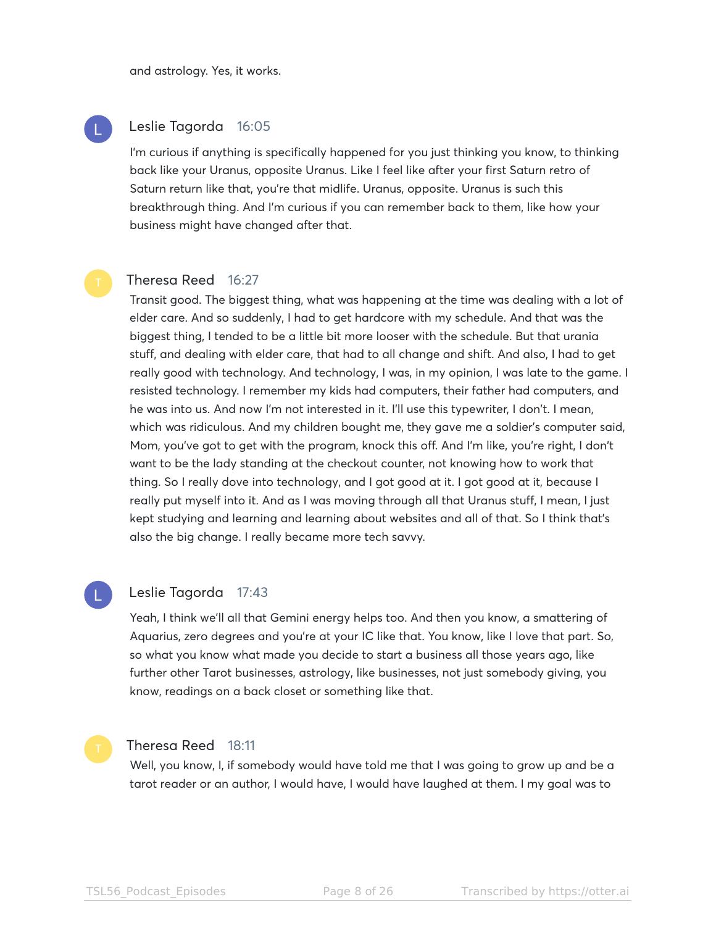and astrology. Yes, it works.

### Leslie Tagorda 16:05

I'm curious if anything is specifically happened for you just thinking you know, to thinking back like your Uranus, opposite Uranus. Like I feel like after your first Saturn retro of Saturn return like that, you're that midlife. Uranus, opposite. Uranus is such this breakthrough thing. And I'm curious if you can remember back to them, like how your business might have changed after that.

# Theresa Reed 16:27

Transit good. The biggest thing, what was happening at the time was dealing with a lot of elder care. And so suddenly, I had to get hardcore with my schedule. And that was the biggest thing, I tended to be a little bit more looser with the schedule. But that urania stuff, and dealing with elder care, that had to all change and shift. And also, I had to get really good with technology. And technology, I was, in my opinion, I was late to the game. I resisted technology. I remember my kids had computers, their father had computers, and he was into us. And now I'm not interested in it. I'll use this typewriter, I don't. I mean, which was ridiculous. And my children bought me, they gave me a soldier's computer said, Mom, you've got to get with the program, knock this off. And I'm like, you're right, I don't want to be the lady standing at the checkout counter, not knowing how to work that thing. So I really dove into technology, and I got good at it. I got good at it, because I really put myself into it. And as I was moving through all that Uranus stuff, I mean, I just kept studying and learning and learning about websites and all of that. So I think that's also the big change. I really became more tech savvy.

#### Leslie Tagorda 17:43

Yeah, I think we'll all that Gemini energy helps too. And then you know, a smattering of Aquarius, zero degrees and you're at your IC like that. You know, like I love that part. So, so what you know what made you decide to start a business all those years ago, like further other Tarot businesses, astrology, like businesses, not just somebody giving, you know, readings on a back closet or something like that.

# Theresa Reed 18:11

Well, you know, I, if somebody would have told me that I was going to grow up and be a tarot reader or an author, I would have, I would have laughed at them. I my goal was to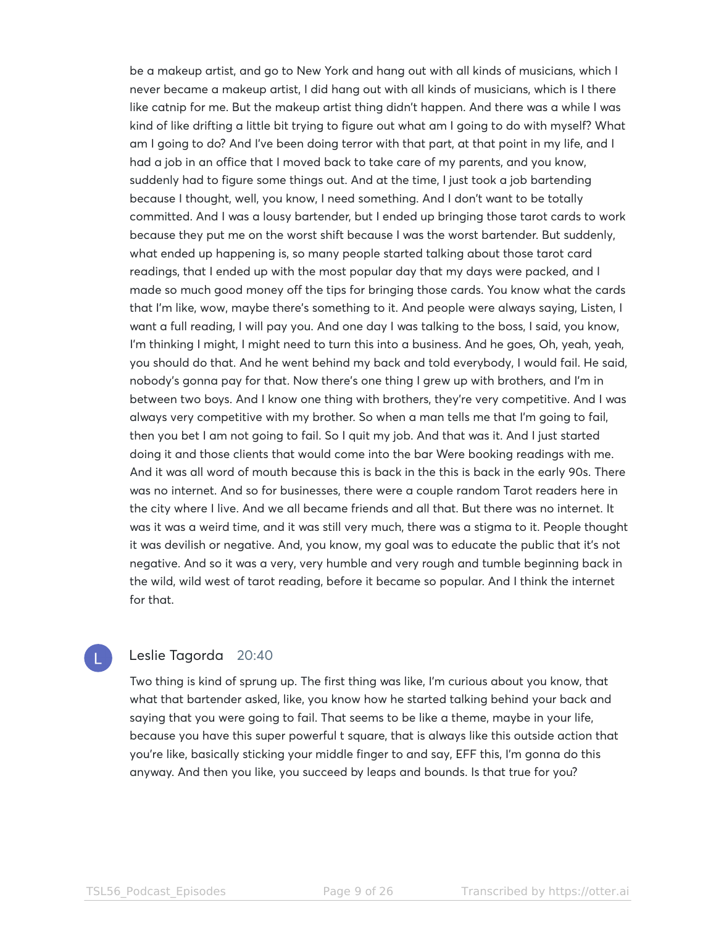be a makeup artist, and go to New York and hang out with all kinds of musicians, which I never became a makeup artist, I did hang out with all kinds of musicians, which is I there like catnip for me. But the makeup artist thing didn't happen. And there was a while I was kind of like drifting a little bit trying to figure out what am I going to do with myself? What am I going to do? And I've been doing terror with that part, at that point in my life, and I had a job in an office that I moved back to take care of my parents, and you know, suddenly had to figure some things out. And at the time, I just took a job bartending because I thought, well, you know, I need something. And I don't want to be totally committed. And I was a lousy bartender, but I ended up bringing those tarot cards to work because they put me on the worst shift because I was the worst bartender. But suddenly, what ended up happening is, so many people started talking about those tarot card readings, that I ended up with the most popular day that my days were packed, and I made so much good money off the tips for bringing those cards. You know what the cards that I'm like, wow, maybe there's something to it. And people were always saying, Listen, I want a full reading, I will pay you. And one day I was talking to the boss, I said, you know, I'm thinking I might, I might need to turn this into a business. And he goes, Oh, yeah, yeah, you should do that. And he went behind my back and told everybody, I would fail. He said, nobody's gonna pay for that. Now there's one thing I grew up with brothers, and I'm in between two boys. And I know one thing with brothers, they're very competitive. And I was always very competitive with my brother. So when a man tells me that I'm going to fail, then you bet I am not going to fail. So I quit my job. And that was it. And I just started doing it and those clients that would come into the bar Were booking readings with me. And it was all word of mouth because this is back in the this is back in the early 90s. There was no internet. And so for businesses, there were a couple random Tarot readers here in the city where I live. And we all became friends and all that. But there was no internet. It was it was a weird time, and it was still very much, there was a stigma to it. People thought it was devilish or negative. And, you know, my goal was to educate the public that it's not negative. And so it was a very, very humble and very rough and tumble beginning back in the wild, wild west of tarot reading, before it became so popular. And I think the internet for that.

# Leslie Tagorda 20:40

Two thing is kind of sprung up. The first thing was like, I'm curious about you know, that what that bartender asked, like, you know how he started talking behind your back and saying that you were going to fail. That seems to be like a theme, maybe in your life, because you have this super powerful t square, that is always like this outside action that you're like, basically sticking your middle finger to and say, EFF this, I'm gonna do this anyway. And then you like, you succeed by leaps and bounds. Is that true for you?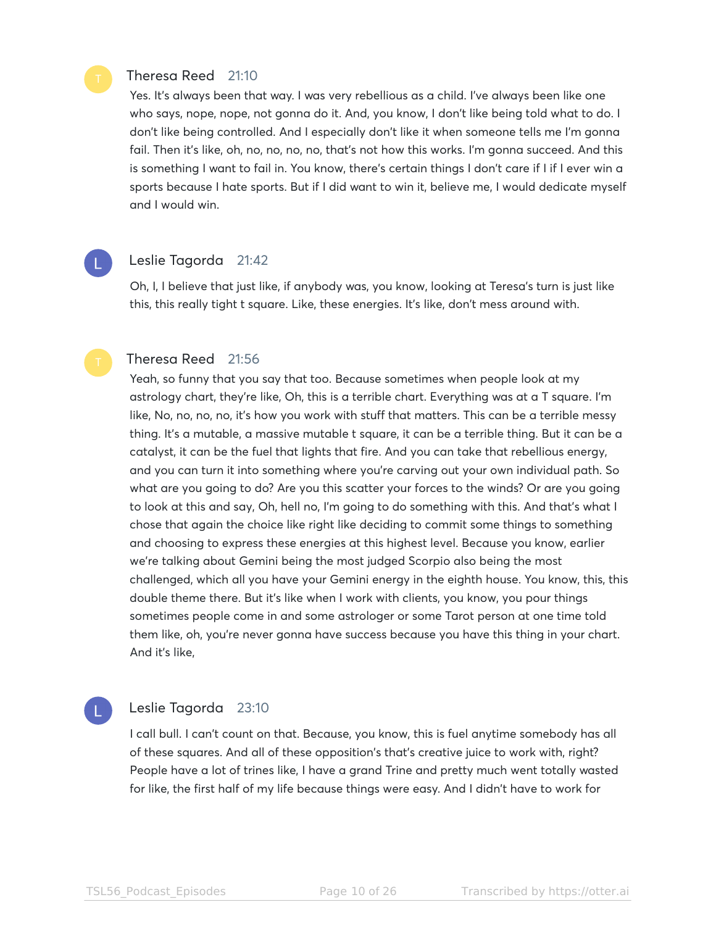### Theresa Reed 21:10

Yes. It's always been that way. I was very rebellious as a child. I've always been like one who says, nope, nope, not gonna do it. And, you know, I don't like being told what to do. I don't like being controlled. And I especially don't like it when someone tells me I'm gonna fail. Then it's like, oh, no, no, no, no, that's not how this works. I'm gonna succeed. And this is something I want to fail in. You know, there's certain things I don't care if I if I ever win a sports because I hate sports. But if I did want to win it, believe me, I would dedicate myself and I would win.

Leslie Tagorda 21:42

Oh, I, I believe that just like, if anybody was, you know, looking at Teresa's turn is just like this, this really tight t square. Like, these energies. It's like, don't mess around with.

#### Theresa Reed 21:56

Yeah, so funny that you say that too. Because sometimes when people look at my astrology chart, they're like, Oh, this is a terrible chart. Everything was at a T square. I'm like, No, no, no, no, it's how you work with stuff that matters. This can be a terrible messy thing. It's a mutable, a massive mutable t square, it can be a terrible thing. But it can be a catalyst, it can be the fuel that lights that fire. And you can take that rebellious energy, and you can turn it into something where you're carving out your own individual path. So what are you going to do? Are you this scatter your forces to the winds? Or are you going to look at this and say, Oh, hell no, I'm going to do something with this. And that's what I chose that again the choice like right like deciding to commit some things to something and choosing to express these energies at this highest level. Because you know, earlier we're talking about Gemini being the most judged Scorpio also being the most challenged, which all you have your Gemini energy in the eighth house. You know, this, this double theme there. But it's like when I work with clients, you know, you pour things sometimes people come in and some astrologer or some Tarot person at one time told them like, oh, you're never gonna have success because you have this thing in your chart. And it's like,

# Leslie Tagorda 23:10

I call bull. I can't count on that. Because, you know, this is fuel anytime somebody has all of these squares. And all of these opposition's that's creative juice to work with, right? People have a lot of trines like, I have a grand Trine and pretty much went totally wasted for like, the first half of my life because things were easy. And I didn't have to work for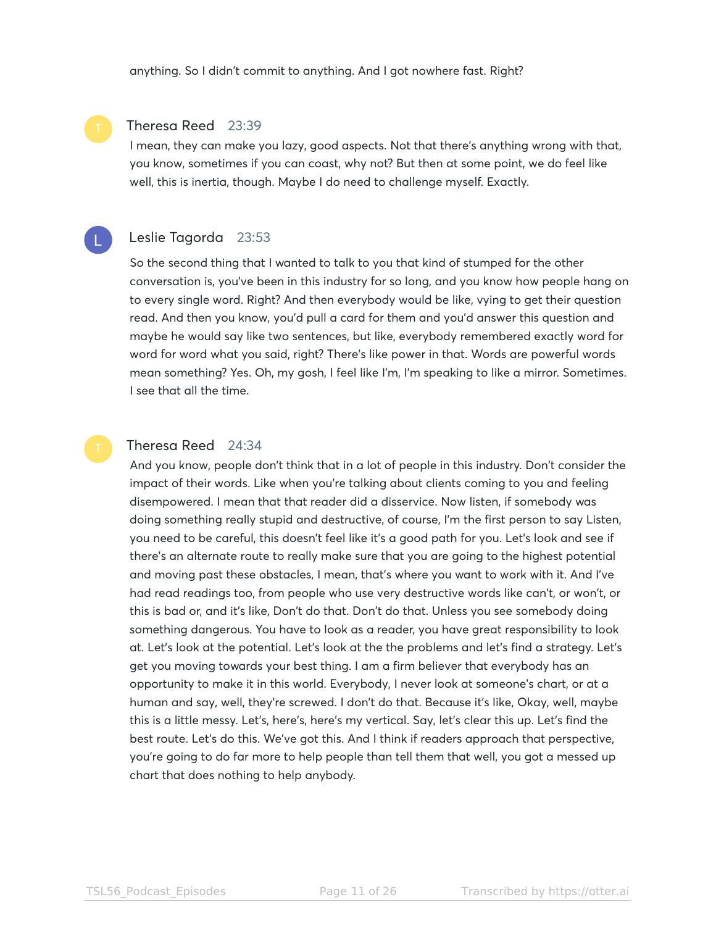anything. So I didn't commit to anything. And I got nowhere fast. Right?

#### Theresa Reed 23:39

I mean, they can make you lazy, good aspects. Not that there's anything wrong with that, you know, sometimes if you can coast, why not? But then at some point, we do feel like well, this is inertia, though. Maybe I do need to challenge myself. Exactly.

# Leslie Tagorda 23:53

So the second thing that I wanted to talk to you that kind of stumped for the other conversation is, you've been in this industry for so long, and you know how people hang on to every single word. Right? And then everybody would be like, vying to get their question read. And then you know, you'd pull a card for them and you'd answer this question and maybe he would say like two sentences, but like, everybody remembered exactly word for word for word what you said, right? There's like power in that. Words are powerful words mean something? Yes. Oh, my gosh, I feel like I'm, I'm speaking to like a mirror. Sometimes. I see that all the time.

#### Theresa Reed 24:34

And you know, people don't think that in a lot of people in this industry. Don't consider the impact of their words. Like when you're talking about clients coming to you and feeling disempowered. I mean that that reader did a disservice. Now listen, if somebody was doing something really stupid and destructive, of course, I'm the first person to say Listen, you need to be careful, this doesn't feel like it's a good path for you. Let's look and see if there's an alternate route to really make sure that you are going to the highest potential and moving past these obstacles, I mean, that's where you want to work with it. And I've had read readings too, from people who use very destructive words like can't, or won't, or this is bad or, and it's like, Don't do that. Don't do that. Unless you see somebody doing something dangerous. You have to look as a reader, you have great responsibility to look at. Let's look at the potential. Let's look at the the problems and let's find a strategy. Let's get you moving towards your best thing. I am a firm believer that everybody has an opportunity to make it in this world. Everybody, I never look at someone's chart, or at a human and say, well, they're screwed. I don't do that. Because it's like, Okay, well, maybe this is a little messy. Let's, here's, here's my vertical. Say, let's clear this up. Let's find the best route. Let's do this. We've got this. And I think if readers approach that perspective, you're going to do far more to help people than tell them that well, you got a messed up chart that does nothing to help anybody.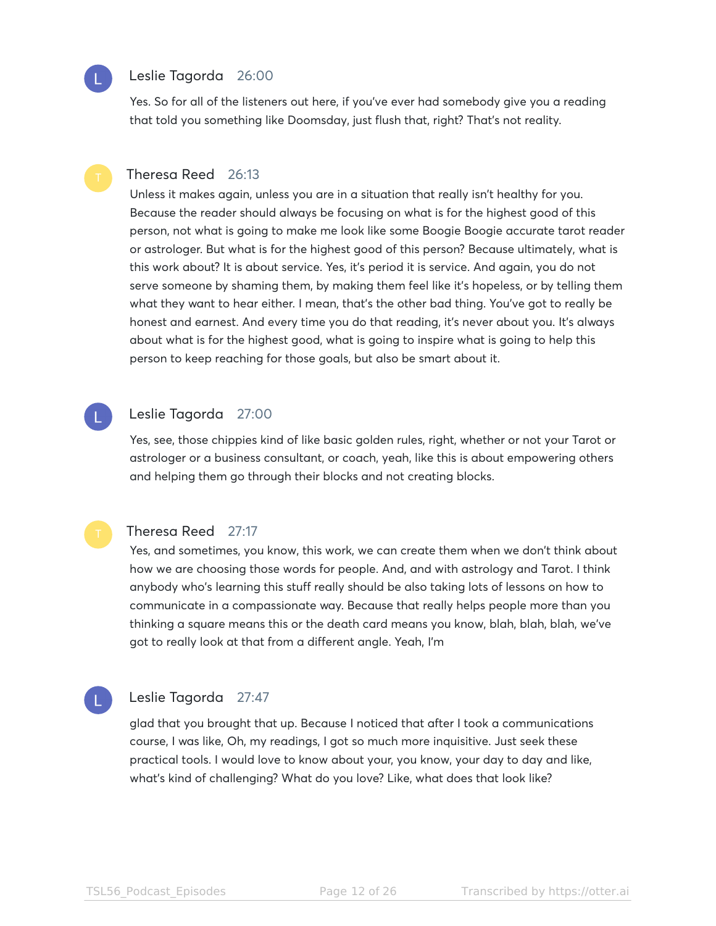# Leslie Tagorda 26:00

Yes. So for all of the listeners out here, if you've ever had somebody give you a reading that told you something like Doomsday, just flush that, right? That's not reality.

### Theresa Reed 26:13

Unless it makes again, unless you are in a situation that really isn't healthy for you. Because the reader should always be focusing on what is for the highest good of this person, not what is going to make me look like some Boogie Boogie accurate tarot reader or astrologer. But what is for the highest good of this person? Because ultimately, what is this work about? It is about service. Yes, it's period it is service. And again, you do not serve someone by shaming them, by making them feel like it's hopeless, or by telling them what they want to hear either. I mean, that's the other bad thing. You've got to really be honest and earnest. And every time you do that reading, it's never about you. It's always about what is for the highest good, what is going to inspire what is going to help this person to keep reaching for those goals, but also be smart about it.

### Leslie Tagorda 27:00

Yes, see, those chippies kind of like basic golden rules, right, whether or not your Tarot or astrologer or a business consultant, or coach, yeah, like this is about empowering others and helping them go through their blocks and not creating blocks.



#### Theresa Reed 27:17

Yes, and sometimes, you know, this work, we can create them when we don't think about how we are choosing those words for people. And, and with astrology and Tarot. I think anybody who's learning this stuff really should be also taking lots of lessons on how to communicate in a compassionate way. Because that really helps people more than you thinking a square means this or the death card means you know, blah, blah, blah, we've got to really look at that from a different angle. Yeah, I'm

# Leslie Tagorda 27:47

glad that you brought that up. Because I noticed that after I took a communications course, I was like, Oh, my readings, I got so much more inquisitive. Just seek these practical tools. I would love to know about your, you know, your day to day and like, what's kind of challenging? What do you love? Like, what does that look like?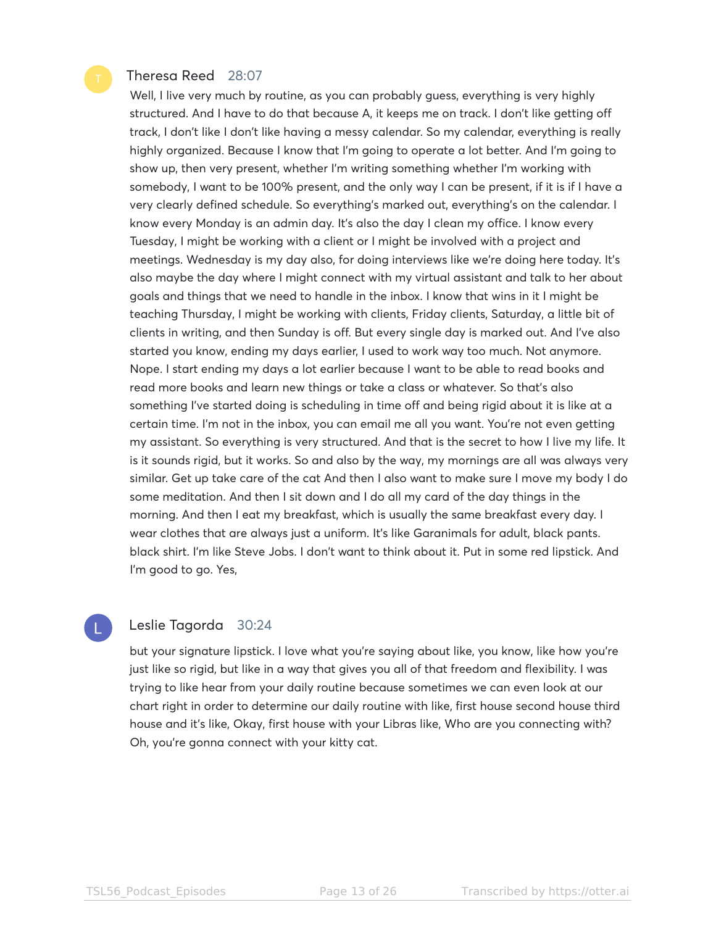### Theresa Reed 28:07

Well, I live very much by routine, as you can probably guess, everything is very highly structured. And I have to do that because A, it keeps me on track. I don't like getting off track, I don't like I don't like having a messy calendar. So my calendar, everything is really highly organized. Because I know that I'm going to operate a lot better. And I'm going to show up, then very present, whether I'm writing something whether I'm working with somebody, I want to be 100% present, and the only way I can be present, if it is if I have a very clearly defined schedule. So everything's marked out, everything's on the calendar. I know every Monday is an admin day. It's also the day I clean my office. I know every Tuesday, I might be working with a client or I might be involved with a project and meetings. Wednesday is my day also, for doing interviews like we're doing here today. It's also maybe the day where I might connect with my virtual assistant and talk to her about goals and things that we need to handle in the inbox. I know that wins in it I might be teaching Thursday, I might be working with clients, Friday clients, Saturday, a little bit of clients in writing, and then Sunday is off. But every single day is marked out. And I've also started you know, ending my days earlier, I used to work way too much. Not anymore. Nope. I start ending my days a lot earlier because I want to be able to read books and read more books and learn new things or take a class or whatever. So that's also something I've started doing is scheduling in time off and being rigid about it is like at a certain time. I'm not in the inbox, you can email me all you want. You're not even getting my assistant. So everything is very structured. And that is the secret to how I live my life. It is it sounds rigid, but it works. So and also by the way, my mornings are all was always very similar. Get up take care of the cat And then I also want to make sure I move my body I do some meditation. And then I sit down and I do all my card of the day things in the morning. And then I eat my breakfast, which is usually the same breakfast every day. I wear clothes that are always just a uniform. It's like Garanimals for adult, black pants. black shirt. I'm like Steve Jobs. I don't want to think about it. Put in some red lipstick. And I'm good to go. Yes,

# Leslie Tagorda 30:24

but your signature lipstick. I love what you're saying about like, you know, like how you're just like so rigid, but like in a way that gives you all of that freedom and flexibility. I was trying to like hear from your daily routine because sometimes we can even look at our chart right in order to determine our daily routine with like, first house second house third house and it's like, Okay, first house with your Libras like, Who are you connecting with? Oh, you're gonna connect with your kitty cat.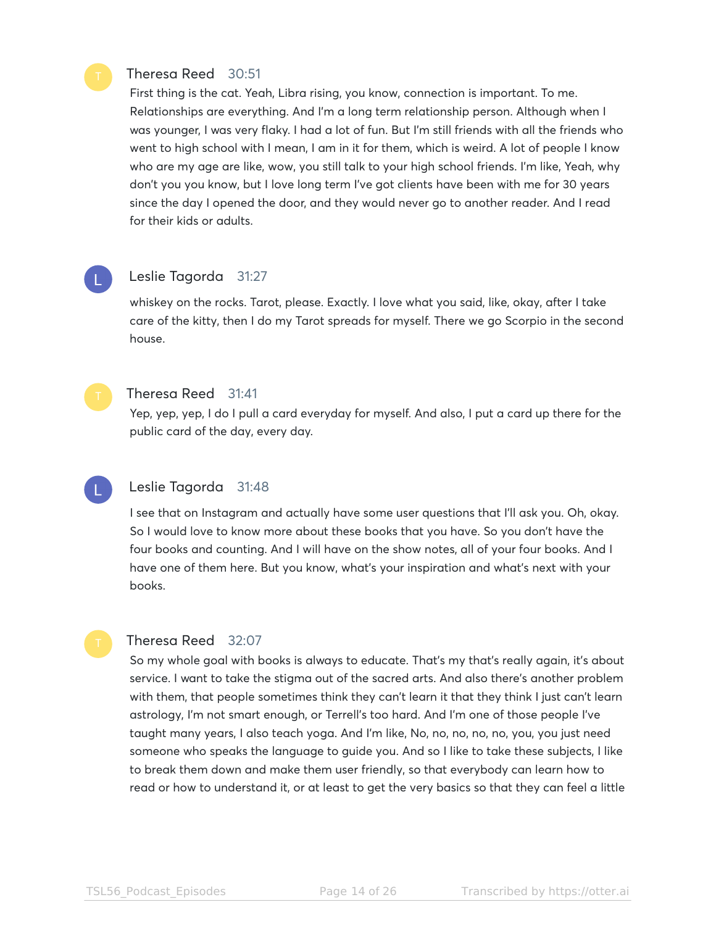### Theresa Reed 30:51

First thing is the cat. Yeah, Libra rising, you know, connection is important. To me. Relationships are everything. And I'm a long term relationship person. Although when I was younger, I was very flaky. I had a lot of fun. But I'm still friends with all the friends who went to high school with I mean, I am in it for them, which is weird. A lot of people I know who are my age are like, wow, you still talk to your high school friends. I'm like, Yeah, why don't you you know, but I love long term I've got clients have been with me for 30 years since the day I opened the door, and they would never go to another reader. And I read for their kids or adults.

# Leslie Tagorda 31:27

whiskey on the rocks. Tarot, please. Exactly. I love what you said, like, okay, after I take care of the kitty, then I do my Tarot spreads for myself. There we go Scorpio in the second house.

#### Theresa Reed 31:41

Yep, yep, yep, I do I pull a card everyday for myself. And also, I put a card up there for the public card of the day, every day.

#### Leslie Tagorda 31:48

I see that on Instagram and actually have some user questions that I'll ask you. Oh, okay. So I would love to know more about these books that you have. So you don't have the four books and counting. And I will have on the show notes, all of your four books. And I have one of them here. But you know, what's your inspiration and what's next with your books.

#### Theresa Reed 32:07

So my whole goal with books is always to educate. That's my that's really again, it's about service. I want to take the stigma out of the sacred arts. And also there's another problem with them, that people sometimes think they can't learn it that they think I just can't learn astrology, I'm not smart enough, or Terrell's too hard. And I'm one of those people I've taught many years, I also teach yoga. And I'm like, No, no, no, no, no, you, you just need someone who speaks the language to guide you. And so I like to take these subjects, I like to break them down and make them user friendly, so that everybody can learn how to read or how to understand it, or at least to get the very basics so that they can feel a little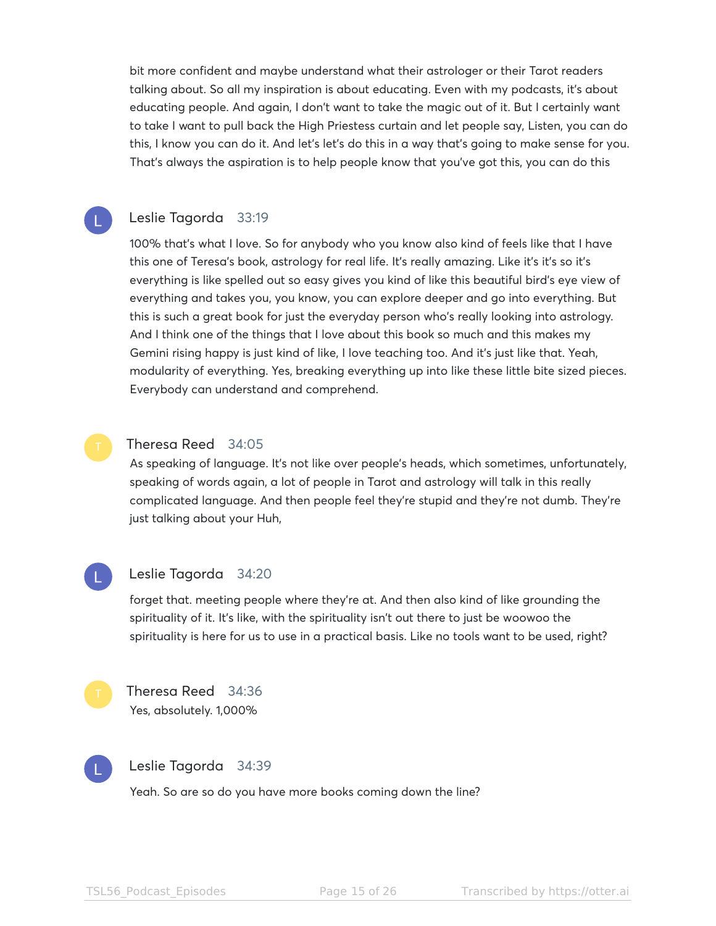bit more confident and maybe understand what their astrologer or their Tarot readers talking about. So all my inspiration is about educating. Even with my podcasts, it's about educating people. And again, I don't want to take the magic out of it. But I certainly want to take I want to pull back the High Priestess curtain and let people say, Listen, you can do this, I know you can do it. And let's let's do this in a way that's going to make sense for you. That's always the aspiration is to help people know that you've got this, you can do this

#### Leslie Tagorda 33:19

100% that's what I love. So for anybody who you know also kind of feels like that I have this one of Teresa's book, astrology for real life. It's really amazing. Like it's it's so it's everything is like spelled out so easy gives you kind of like this beautiful bird's eye view of everything and takes you, you know, you can explore deeper and go into everything. But this is such a great book for just the everyday person who's really looking into astrology. And I think one of the things that I love about this book so much and this makes my Gemini rising happy is just kind of like, I love teaching too. And it's just like that. Yeah, modularity of everything. Yes, breaking everything up into like these little bite sized pieces. Everybody can understand and comprehend.

#### Theresa Reed 34:05

As speaking of language. It's not like over people's heads, which sometimes, unfortunately, speaking of words again, a lot of people in Tarot and astrology will talk in this really complicated language. And then people feel they're stupid and they're not dumb. They're just talking about your Huh,



#### Leslie Tagorda 34:20

forget that. meeting people where they're at. And then also kind of like grounding the spirituality of it. It's like, with the spirituality isn't out there to just be woowoo the spirituality is here for us to use in a practical basis. Like no tools want to be used, right?



# Theresa Reed 34:36 Yes, absolutely. 1,000%



### Leslie Tagorda 34:39

Yeah. So are so do you have more books coming down the line?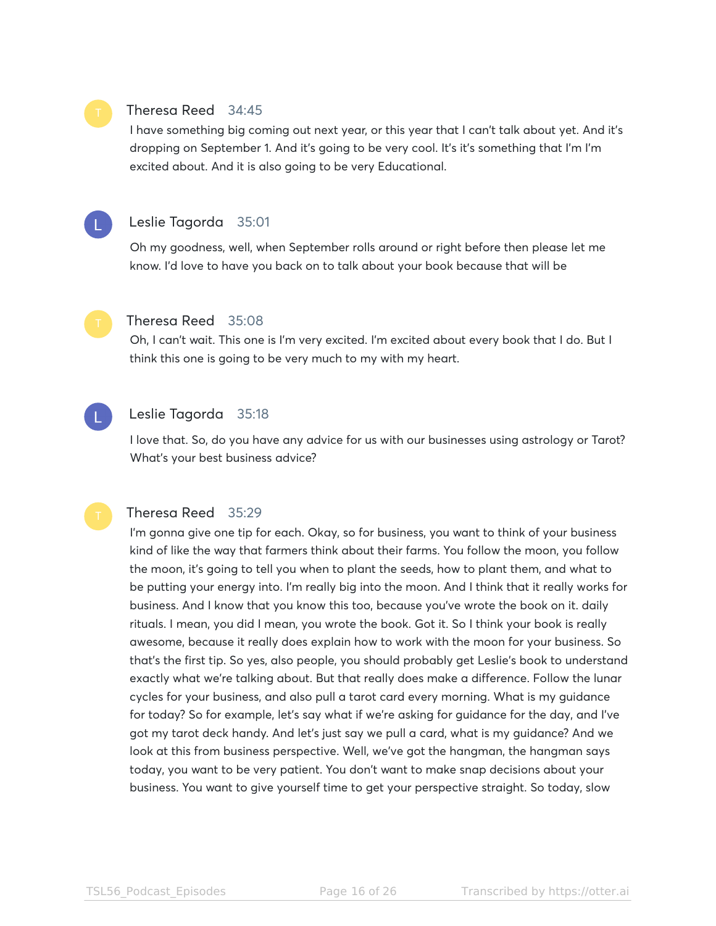# Theresa Reed 34:45

I have something big coming out next year, or this year that I can't talk about yet. And it's dropping on September 1. And it's going to be very cool. It's it's something that I'm I'm excited about. And it is also going to be very Educational.



#### Leslie Tagorda 35:01

Oh my goodness, well, when September rolls around or right before then please let me know. I'd love to have you back on to talk about your book because that will be



#### Theresa Reed 35:08

Oh, I can't wait. This one is I'm very excited. I'm excited about every book that I do. But I think this one is going to be very much to my with my heart.



### Leslie Tagorda 35:18

I love that. So, do you have any advice for us with our businesses using astrology or Tarot? What's your best business advice?

#### Theresa Reed 35:29

I'm gonna give one tip for each. Okay, so for business, you want to think of your business kind of like the way that farmers think about their farms. You follow the moon, you follow the moon, it's going to tell you when to plant the seeds, how to plant them, and what to be putting your energy into. I'm really big into the moon. And I think that it really works for business. And I know that you know this too, because you've wrote the book on it. daily rituals. I mean, you did I mean, you wrote the book. Got it. So I think your book is really awesome, because it really does explain how to work with the moon for your business. So that's the first tip. So yes, also people, you should probably get Leslie's book to understand exactly what we're talking about. But that really does make a difference. Follow the lunar cycles for your business, and also pull a tarot card every morning. What is my guidance for today? So for example, let's say what if we're asking for guidance for the day, and I've got my tarot deck handy. And let's just say we pull a card, what is my guidance? And we look at this from business perspective. Well, we've got the hangman, the hangman says today, you want to be very patient. You don't want to make snap decisions about your business. You want to give yourself time to get your perspective straight. So today, slow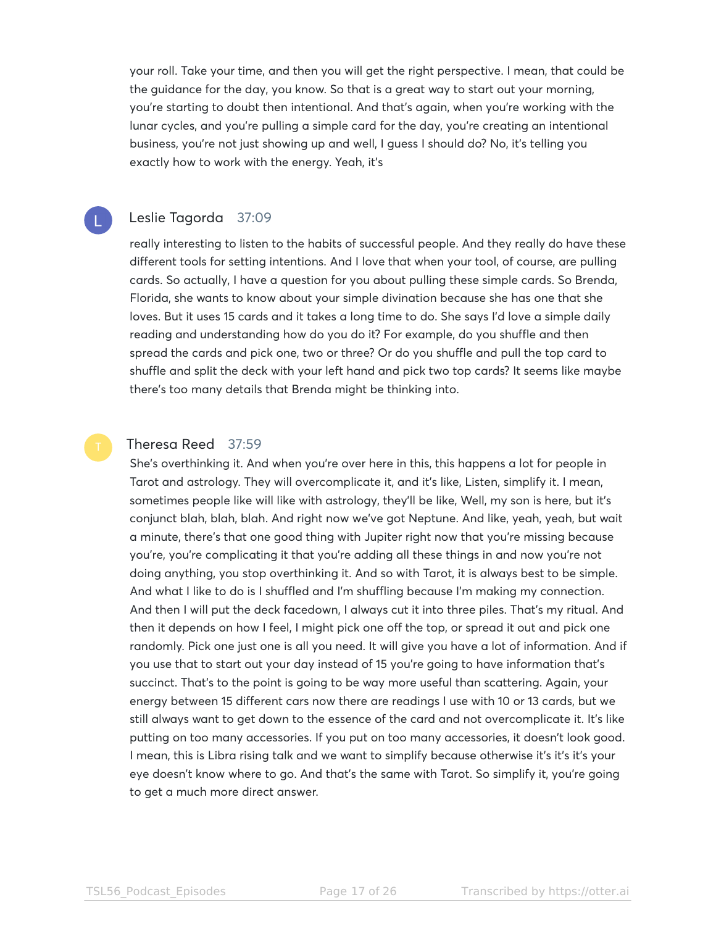your roll. Take your time, and then you will get the right perspective. I mean, that could be the guidance for the day, you know. So that is a great way to start out your morning, you're starting to doubt then intentional. And that's again, when you're working with the lunar cycles, and you're pulling a simple card for the day, you're creating an intentional business, you're not just showing up and well, I guess I should do? No, it's telling you exactly how to work with the energy. Yeah, it's

# Leslie Tagorda 37:09

really interesting to listen to the habits of successful people. And they really do have these different tools for setting intentions. And I love that when your tool, of course, are pulling cards. So actually, I have a question for you about pulling these simple cards. So Brenda, Florida, she wants to know about your simple divination because she has one that she loves. But it uses 15 cards and it takes a long time to do. She says I'd love a simple daily reading and understanding how do you do it? For example, do you shuffle and then spread the cards and pick one, two or three? Or do you shuffle and pull the top card to shuffle and split the deck with your left hand and pick two top cards? It seems like maybe there's too many details that Brenda might be thinking into.

#### Theresa Reed 37:59

She's overthinking it. And when you're over here in this, this happens a lot for people in Tarot and astrology. They will overcomplicate it, and it's like, Listen, simplify it. I mean, sometimes people like will like with astrology, they'll be like, Well, my son is here, but it's conjunct blah, blah, blah. And right now we've got Neptune. And like, yeah, yeah, but wait a minute, there's that one good thing with Jupiter right now that you're missing because you're, you're complicating it that you're adding all these things in and now you're not doing anything, you stop overthinking it. And so with Tarot, it is always best to be simple. And what I like to do is I shuffled and I'm shuffling because I'm making my connection. And then I will put the deck facedown, I always cut it into three piles. That's my ritual. And then it depends on how I feel, I might pick one off the top, or spread it out and pick one randomly. Pick one just one is all you need. It will give you have a lot of information. And if you use that to start out your day instead of 15 you're going to have information that's succinct. That's to the point is going to be way more useful than scattering. Again, your energy between 15 different cars now there are readings I use with 10 or 13 cards, but we still always want to get down to the essence of the card and not overcomplicate it. It's like putting on too many accessories. If you put on too many accessories, it doesn't look good. I mean, this is Libra rising talk and we want to simplify because otherwise it's it's it's your eye doesn't know where to go. And that's the same with Tarot. So simplify it, you're going to get a much more direct answer.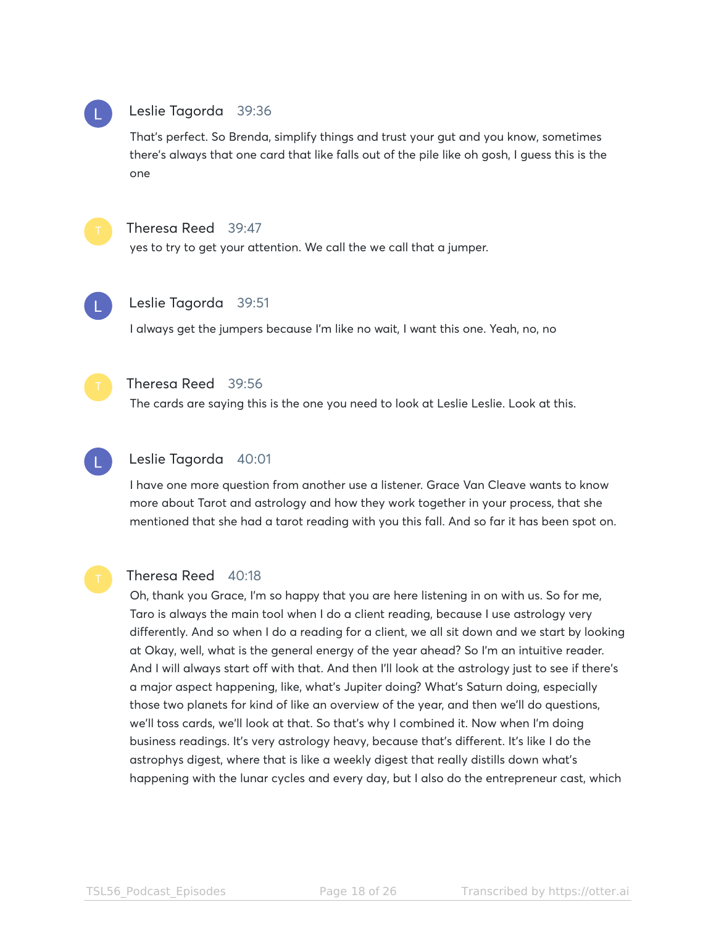# Leslie Tagorda 39:36

That's perfect. So Brenda, simplify things and trust your gut and you know, sometimes there's always that one card that like falls out of the pile like oh gosh, I guess this is the one



#### Theresa Reed 39:47

yes to try to get your attention. We call the we call that a jumper.



#### Leslie Tagorda 39:51

I always get the jumpers because I'm like no wait, I want this one. Yeah, no, no



#### Theresa Reed 39:56

The cards are saying this is the one you need to look at Leslie Leslie. Look at this.



#### Leslie Tagorda 40:01

I have one more question from another use a listener. Grace Van Cleave wants to know more about Tarot and astrology and how they work together in your process, that she mentioned that she had a tarot reading with you this fall. And so far it has been spot on.



#### Theresa Reed 40:18

Oh, thank you Grace, I'm so happy that you are here listening in on with us. So for me, Taro is always the main tool when I do a client reading, because I use astrology very differently. And so when I do a reading for a client, we all sit down and we start by looking at Okay, well, what is the general energy of the year ahead? So I'm an intuitive reader. And I will always start off with that. And then I'll look at the astrology just to see if there's a major aspect happening, like, what's Jupiter doing? What's Saturn doing, especially those two planets for kind of like an overview of the year, and then we'll do questions, we'll toss cards, we'll look at that. So that's why I combined it. Now when I'm doing business readings. It's very astrology heavy, because that's different. It's like I do the astrophys digest, where that is like a weekly digest that really distills down what's happening with the lunar cycles and every day, but I also do the entrepreneur cast, which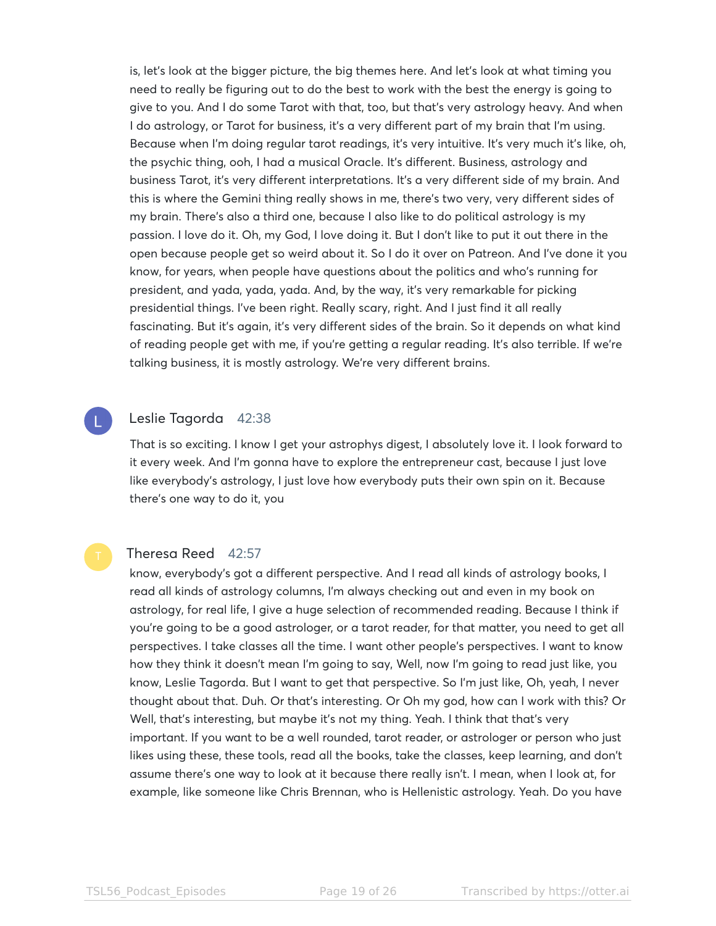is, let's look at the bigger picture, the big themes here. And let's look at what timing you need to really be figuring out to do the best to work with the best the energy is going to give to you. And I do some Tarot with that, too, but that's very astrology heavy. And when I do astrology, or Tarot for business, it's a very different part of my brain that I'm using. Because when I'm doing regular tarot readings, it's very intuitive. It's very much it's like, oh, the psychic thing, ooh, I had a musical Oracle. It's different. Business, astrology and business Tarot, it's very different interpretations. It's a very different side of my brain. And this is where the Gemini thing really shows in me, there's two very, very different sides of my brain. There's also a third one, because I also like to do political astrology is my passion. I love do it. Oh, my God, I love doing it. But I don't like to put it out there in the open because people get so weird about it. So I do it over on Patreon. And I've done it you know, for years, when people have questions about the politics and who's running for president, and yada, yada, yada. And, by the way, it's very remarkable for picking presidential things. I've been right. Really scary, right. And I just find it all really fascinating. But it's again, it's very different sides of the brain. So it depends on what kind of reading people get with me, if you're getting a regular reading. It's also terrible. If we're talking business, it is mostly astrology. We're very different brains.

#### Leslie Tagorda 42:38

That is so exciting. I know I get your astrophys digest, I absolutely love it. I look forward to it every week. And I'm gonna have to explore the entrepreneur cast, because I just love like everybody's astrology, I just love how everybody puts their own spin on it. Because there's one way to do it, you

# Theresa Reed 42:57

know, everybody's got a different perspective. And I read all kinds of astrology books, I read all kinds of astrology columns, I'm always checking out and even in my book on astrology, for real life, I give a huge selection of recommended reading. Because I think if you're going to be a good astrologer, or a tarot reader, for that matter, you need to get all perspectives. I take classes all the time. I want other people's perspectives. I want to know how they think it doesn't mean I'm going to say, Well, now I'm going to read just like, you know, Leslie Tagorda. But I want to get that perspective. So I'm just like, Oh, yeah, I never thought about that. Duh. Or that's interesting. Or Oh my god, how can I work with this? Or Well, that's interesting, but maybe it's not my thing. Yeah. I think that that's very important. If you want to be a well rounded, tarot reader, or astrologer or person who just likes using these, these tools, read all the books, take the classes, keep learning, and don't assume there's one way to look at it because there really isn't. I mean, when I look at, for example, like someone like Chris Brennan, who is Hellenistic astrology. Yeah. Do you have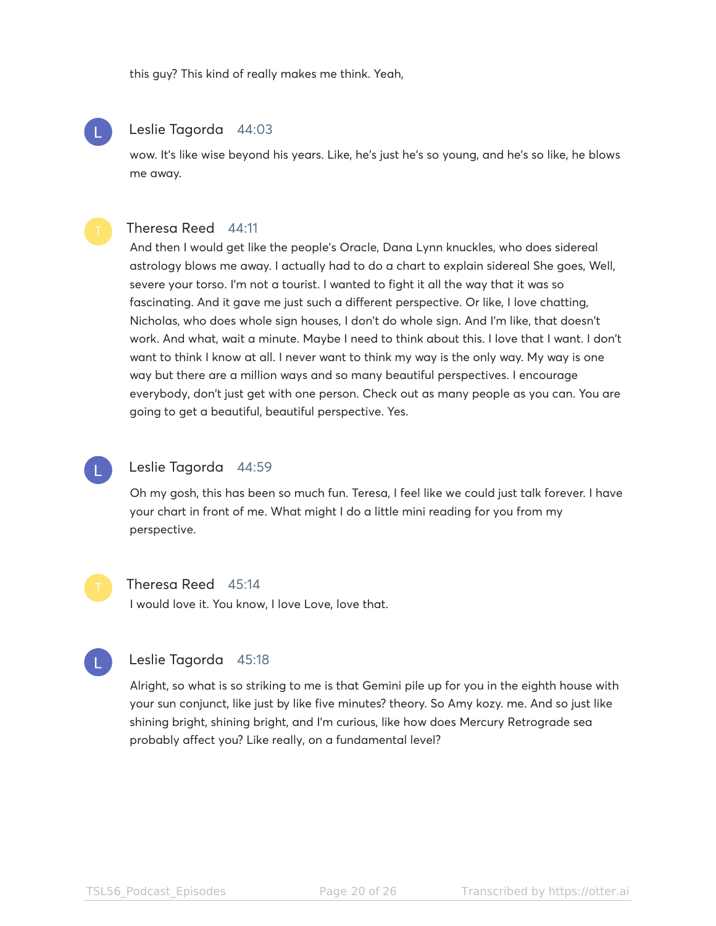this guy? This kind of really makes me think. Yeah,

#### Leslie Tagorda 44:03

wow. It's like wise beyond his years. Like, he's just he's so young, and he's so like, he blows me away.

#### Theresa Reed 44:11

And then I would get like the people's Oracle, Dana Lynn knuckles, who does sidereal astrology blows me away. I actually had to do a chart to explain sidereal She goes, Well, severe your torso. I'm not a tourist. I wanted to fight it all the way that it was so fascinating. And it gave me just such a different perspective. Or like, I love chatting, Nicholas, who does whole sign houses, I don't do whole sign. And I'm like, that doesn't work. And what, wait a minute. Maybe I need to think about this. I love that I want. I don't want to think I know at all. I never want to think my way is the only way. My way is one way but there are a million ways and so many beautiful perspectives. I encourage everybody, don't just get with one person. Check out as many people as you can. You are going to get a beautiful, beautiful perspective. Yes.

#### Leslie Tagorda 44:59

Oh my gosh, this has been so much fun. Teresa, I feel like we could just talk forever. I have your chart in front of me. What might I do a little mini reading for you from my perspective.

#### Theresa Reed 45:14

I would love it. You know, I love Love, love that.



#### Leslie Tagorda 45:18

Alright, so what is so striking to me is that Gemini pile up for you in the eighth house with your sun conjunct, like just by like five minutes? theory. So Amy kozy. me. And so just like shining bright, shining bright, and I'm curious, like how does Mercury Retrograde sea probably affect you? Like really, on a fundamental level?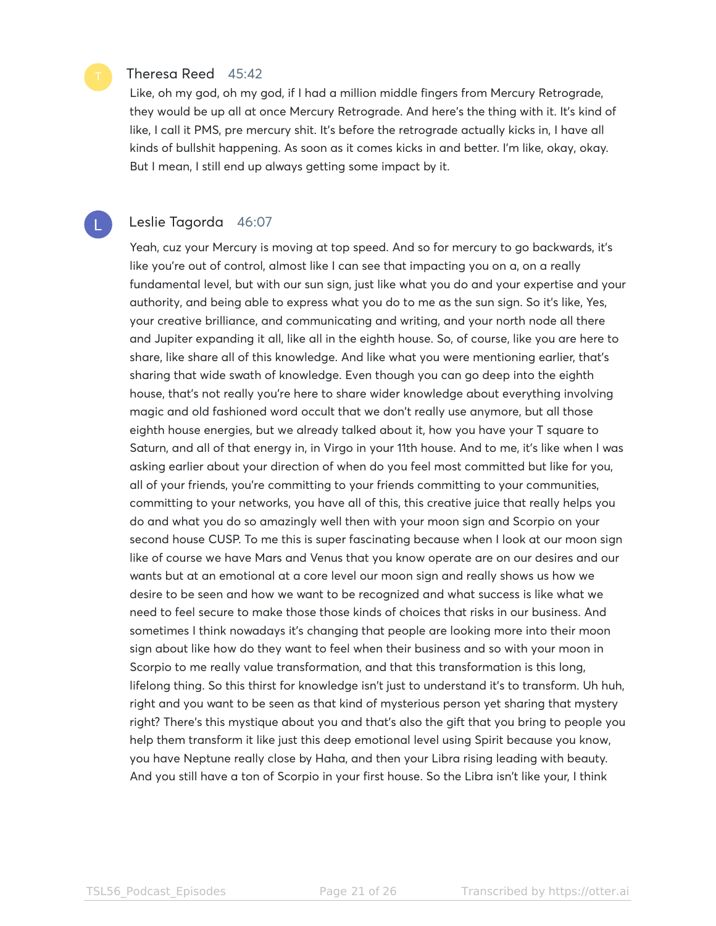#### Theresa Reed 45:42

Like, oh my god, oh my god, if I had a million middle fingers from Mercury Retrograde, they would be up all at once Mercury Retrograde. And here's the thing with it. It's kind of like, I call it PMS, pre mercury shit. It's before the retrograde actually kicks in, I have all kinds of bullshit happening. As soon as it comes kicks in and better. I'm like, okay, okay. But I mean, I still end up always getting some impact by it.

#### Leslie Tagorda 46:07

Yeah, cuz your Mercury is moving at top speed. And so for mercury to go backwards, it's like you're out of control, almost like I can see that impacting you on a, on a really fundamental level, but with our sun sign, just like what you do and your expertise and your authority, and being able to express what you do to me as the sun sign. So it's like, Yes, your creative brilliance, and communicating and writing, and your north node all there and Jupiter expanding it all, like all in the eighth house. So, of course, like you are here to share, like share all of this knowledge. And like what you were mentioning earlier, that's sharing that wide swath of knowledge. Even though you can go deep into the eighth house, that's not really you're here to share wider knowledge about everything involving magic and old fashioned word occult that we don't really use anymore, but all those eighth house energies, but we already talked about it, how you have your T square to Saturn, and all of that energy in, in Virgo in your 11th house. And to me, it's like when I was asking earlier about your direction of when do you feel most committed but like for you, all of your friends, you're committing to your friends committing to your communities, committing to your networks, you have all of this, this creative juice that really helps you do and what you do so amazingly well then with your moon sign and Scorpio on your second house CUSP. To me this is super fascinating because when I look at our moon sign like of course we have Mars and Venus that you know operate are on our desires and our wants but at an emotional at a core level our moon sign and really shows us how we desire to be seen and how we want to be recognized and what success is like what we need to feel secure to make those those kinds of choices that risks in our business. And sometimes I think nowadays it's changing that people are looking more into their moon sign about like how do they want to feel when their business and so with your moon in Scorpio to me really value transformation, and that this transformation is this long, lifelong thing. So this thirst for knowledge isn't just to understand it's to transform. Uh huh, right and you want to be seen as that kind of mysterious person yet sharing that mystery right? There's this mystique about you and that's also the gift that you bring to people you help them transform it like just this deep emotional level using Spirit because you know, you have Neptune really close by Haha, and then your Libra rising leading with beauty. And you still have a ton of Scorpio in your first house. So the Libra isn't like your, I think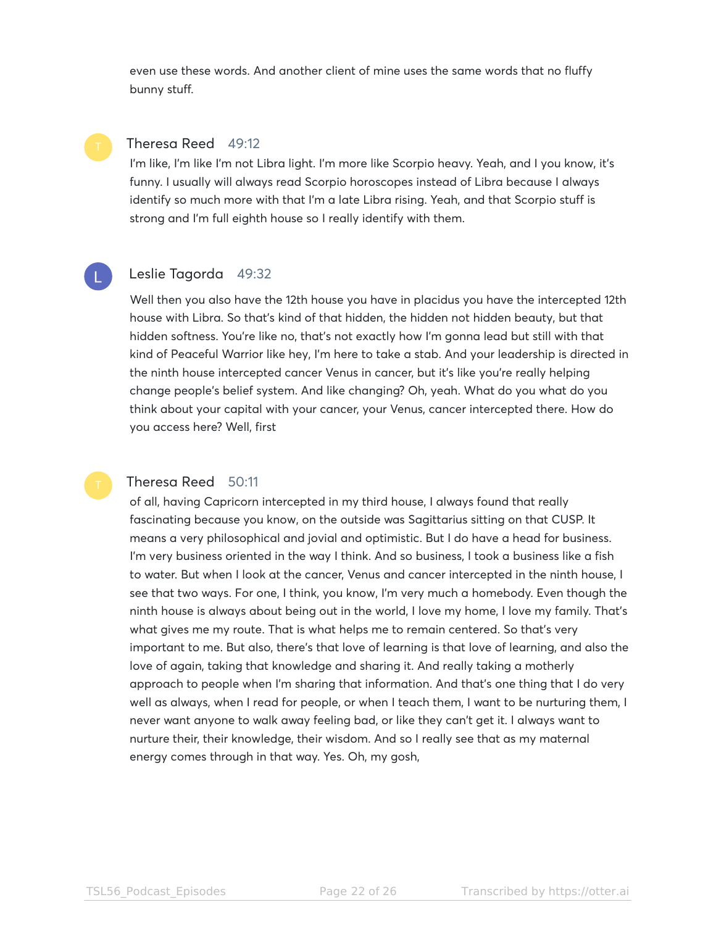even use these words. And another client of mine uses the same words that no fluffy bunny stuff.

#### Theresa Reed 49:12

I'm like, I'm like I'm not Libra light. I'm more like Scorpio heavy. Yeah, and I you know, it's funny. I usually will always read Scorpio horoscopes instead of Libra because I always identify so much more with that I'm a late Libra rising. Yeah, and that Scorpio stuff is strong and I'm full eighth house so I really identify with them.



### Leslie Tagorda 49:32

Well then you also have the 12th house you have in placidus you have the intercepted 12th house with Libra. So that's kind of that hidden, the hidden not hidden beauty, but that hidden softness. You're like no, that's not exactly how I'm gonna lead but still with that kind of Peaceful Warrior like hey, I'm here to take a stab. And your leadership is directed in the ninth house intercepted cancer Venus in cancer, but it's like you're really helping change people's belief system. And like changing? Oh, yeah. What do you what do you think about your capital with your cancer, your Venus, cancer intercepted there. How do you access here? Well, first

### Theresa Reed 50:11

of all, having Capricorn intercepted in my third house, I always found that really fascinating because you know, on the outside was Sagittarius sitting on that CUSP. It means a very philosophical and jovial and optimistic. But I do have a head for business. I'm very business oriented in the way I think. And so business, I took a business like a fish to water. But when I look at the cancer, Venus and cancer intercepted in the ninth house, I see that two ways. For one, I think, you know, I'm very much a homebody. Even though the ninth house is always about being out in the world, I love my home, I love my family. That's what gives me my route. That is what helps me to remain centered. So that's very important to me. But also, there's that love of learning is that love of learning, and also the love of again, taking that knowledge and sharing it. And really taking a motherly approach to people when I'm sharing that information. And that's one thing that I do very well as always, when I read for people, or when I teach them, I want to be nurturing them, I never want anyone to walk away feeling bad, or like they can't get it. I always want to nurture their, their knowledge, their wisdom. And so I really see that as my maternal energy comes through in that way. Yes. Oh, my gosh,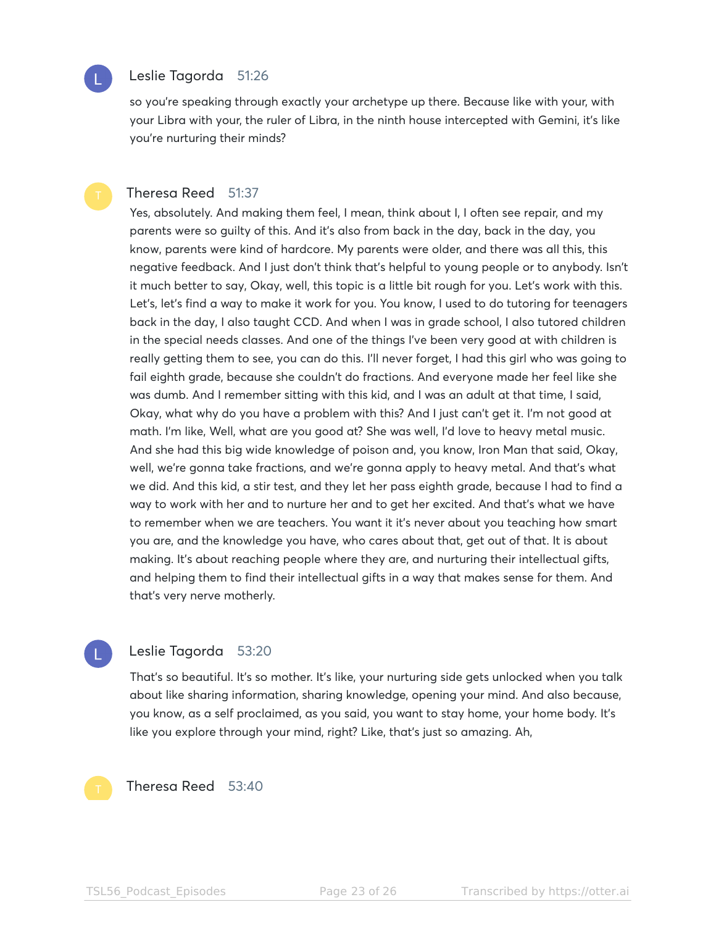

### Leslie Tagorda 51:26

so you're speaking through exactly your archetype up there. Because like with your, with your Libra with your, the ruler of Libra, in the ninth house intercepted with Gemini, it's like you're nurturing their minds?

#### Theresa Reed 51:37

Yes, absolutely. And making them feel, I mean, think about I, I often see repair, and my parents were so guilty of this. And it's also from back in the day, back in the day, you know, parents were kind of hardcore. My parents were older, and there was all this, this negative feedback. And I just don't think that's helpful to young people or to anybody. Isn't it much better to say, Okay, well, this topic is a little bit rough for you. Let's work with this. Let's, let's find a way to make it work for you. You know, I used to do tutoring for teenagers back in the day, I also taught CCD. And when I was in grade school, I also tutored children in the special needs classes. And one of the things I've been very good at with children is really getting them to see, you can do this. I'll never forget, I had this girl who was going to fail eighth grade, because she couldn't do fractions. And everyone made her feel like she was dumb. And I remember sitting with this kid, and I was an adult at that time, I said, Okay, what why do you have a problem with this? And I just can't get it. I'm not good at math. I'm like, Well, what are you good at? She was well, I'd love to heavy metal music. And she had this big wide knowledge of poison and, you know, Iron Man that said, Okay, well, we're gonna take fractions, and we're gonna apply to heavy metal. And that's what we did. And this kid, a stir test, and they let her pass eighth grade, because I had to find a way to work with her and to nurture her and to get her excited. And that's what we have to remember when we are teachers. You want it it's never about you teaching how smart you are, and the knowledge you have, who cares about that, get out of that. It is about making. It's about reaching people where they are, and nurturing their intellectual gifts, and helping them to find their intellectual gifts in a way that makes sense for them. And that's very nerve motherly.

#### Leslie Tagorda 53:20

That's so beautiful. It's so mother. It's like, your nurturing side gets unlocked when you talk about like sharing information, sharing knowledge, opening your mind. And also because, you know, as a self proclaimed, as you said, you want to stay home, your home body. It's like you explore through your mind, right? Like, that's just so amazing. Ah,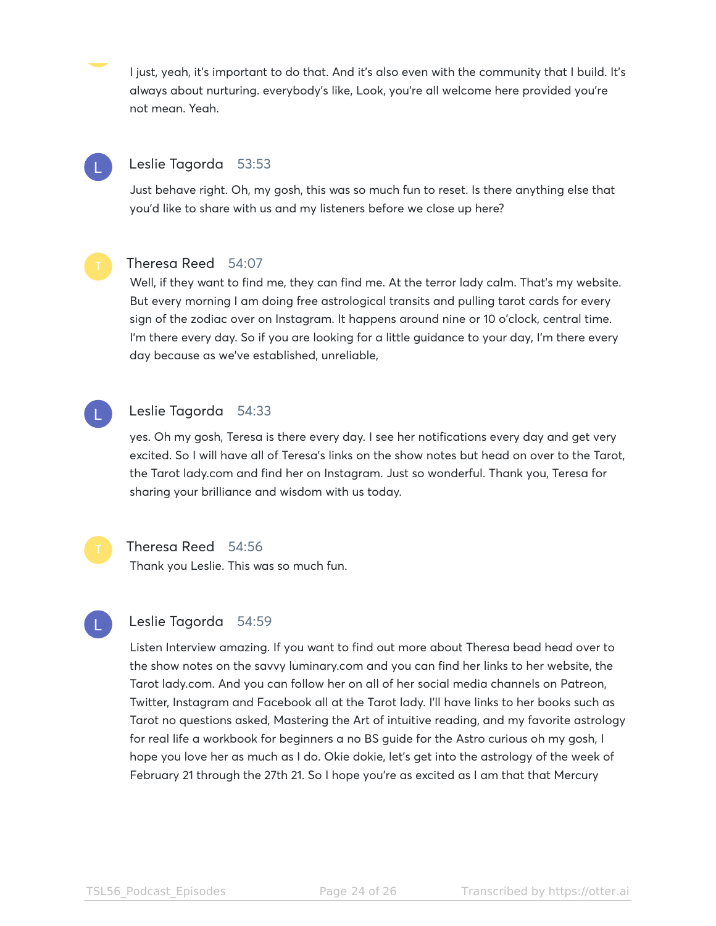I just, yeah, it's important to do that. And it's also even with the community that I build. It's always about nurturing. everybody's like, Look, you're all welcome here provided you're not mean. Yeah.

# Leslie Tagorda 53:53

Just behave right. Oh, my gosh, this was so much fun to reset. Is there anything else that you'd like to share with us and my listeners before we close up here?



# Theresa Reed 54:07

Well, if they want to find me, they can find me. At the terror lady calm. That's my website. But every morning I am doing free astrological transits and pulling tarot cards for every sign of the zodiac over on Instagram. It happens around nine or 10 o'clock, central time. I'm there every day. So if you are looking for a little guidance to your day, I'm there every day because as we've established, unreliable,

### Leslie Tagorda 54:33

yes. Oh my gosh, Teresa is there every day. I see her notifications every day and get very excited. So I will have all of Teresa's links on the show notes but head on over to the Tarot, the Tarot lady.com and find her on Instagram. Just so wonderful. Thank you, Teresa for sharing your brilliance and wisdom with us today.



#### Theresa Reed 54:56

Thank you Leslie. This was so much fun.

#### Leslie Tagorda 54:59

Listen Interview amazing. If you want to find out more about Theresa bead head over to the show notes on the savvy luminary.com and you can find her links to her website, the Tarot lady.com. And you can follow her on all of her social media channels on Patreon, Twitter, Instagram and Facebook all at the Tarot lady. I'll have links to her books such as Tarot no questions asked, Mastering the Art of intuitive reading, and my favorite astrology for real life a workbook for beginners a no BS guide for the Astro curious oh my gosh, I hope you love her as much as I do. Okie dokie, let's get into the astrology of the week of February 21 through the 27th 21. So I hope you're as excited as I am that that Mercury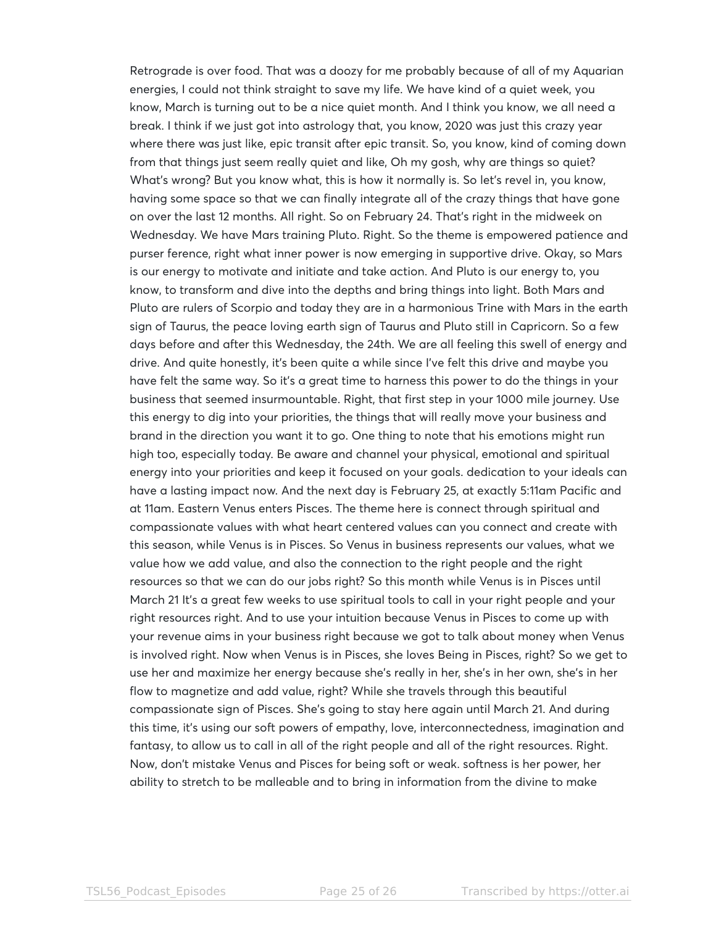Retrograde is over food. That was a doozy for me probably because of all of my Aquarian energies, I could not think straight to save my life. We have kind of a quiet week, you know, March is turning out to be a nice quiet month. And I think you know, we all need a break. I think if we just got into astrology that, you know, 2020 was just this crazy year where there was just like, epic transit after epic transit. So, you know, kind of coming down from that things just seem really quiet and like, Oh my gosh, why are things so quiet? What's wrong? But you know what, this is how it normally is. So let's revel in, you know, having some space so that we can finally integrate all of the crazy things that have gone on over the last 12 months. All right. So on February 24. That's right in the midweek on Wednesday. We have Mars training Pluto. Right. So the theme is empowered patience and purser ference, right what inner power is now emerging in supportive drive. Okay, so Mars is our energy to motivate and initiate and take action. And Pluto is our energy to, you know, to transform and dive into the depths and bring things into light. Both Mars and Pluto are rulers of Scorpio and today they are in a harmonious Trine with Mars in the earth sign of Taurus, the peace loving earth sign of Taurus and Pluto still in Capricorn. So a few days before and after this Wednesday, the 24th. We are all feeling this swell of energy and drive. And quite honestly, it's been quite a while since I've felt this drive and maybe you have felt the same way. So it's a great time to harness this power to do the things in your business that seemed insurmountable. Right, that first step in your 1000 mile journey. Use this energy to dig into your priorities, the things that will really move your business and brand in the direction you want it to go. One thing to note that his emotions might run high too, especially today. Be aware and channel your physical, emotional and spiritual energy into your priorities and keep it focused on your goals. dedication to your ideals can have a lasting impact now. And the next day is February 25, at exactly 5:11am Pacific and at 11am. Eastern Venus enters Pisces. The theme here is connect through spiritual and compassionate values with what heart centered values can you connect and create with this season, while Venus is in Pisces. So Venus in business represents our values, what we value how we add value, and also the connection to the right people and the right resources so that we can do our jobs right? So this month while Venus is in Pisces until March 21 It's a great few weeks to use spiritual tools to call in your right people and your right resources right. And to use your intuition because Venus in Pisces to come up with your revenue aims in your business right because we got to talk about money when Venus is involved right. Now when Venus is in Pisces, she loves Being in Pisces, right? So we get to use her and maximize her energy because she's really in her, she's in her own, she's in her flow to magnetize and add value, right? While she travels through this beautiful compassionate sign of Pisces. She's going to stay here again until March 21. And during this time, it's using our soft powers of empathy, love, interconnectedness, imagination and fantasy, to allow us to call in all of the right people and all of the right resources. Right. Now, don't mistake Venus and Pisces for being soft or weak. softness is her power, her ability to stretch to be malleable and to bring in information from the divine to make